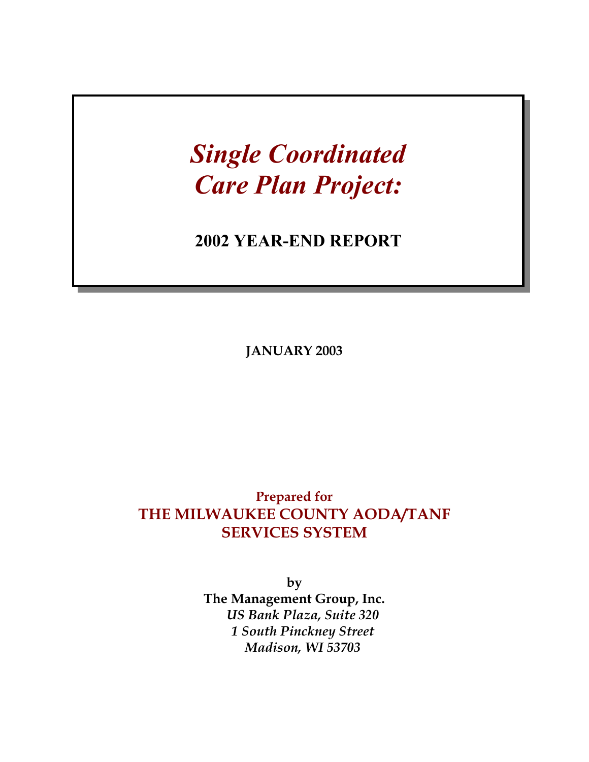# *Single Coordinated Care Plan Project:*

# **2002 YEAR-END REPORT**

**JANUARY 2003** 

# **Prepared for THE MILWAUKEE COUNTY AODA/TANF SERVICES SYSTEM**

**by The Management Group, Inc.**  *US Bank Plaza, Suite 320 1 South Pinckney Street Madison, WI 53703*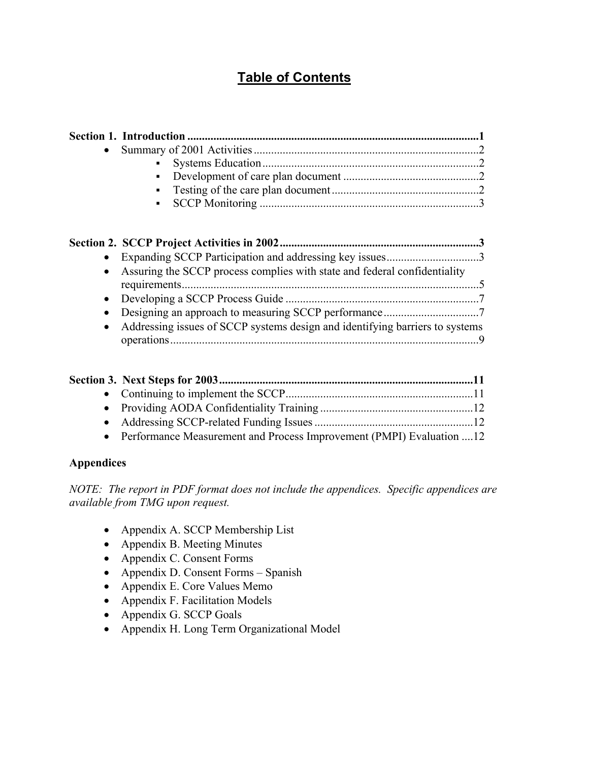# **Table of Contents**

| • Assuring the SCCP process complies with state and federal confidentiality  |  |
|------------------------------------------------------------------------------|--|
|                                                                              |  |
|                                                                              |  |
| Addressing issues of SCCP systems design and identifying barriers to systems |  |

| • Performance Measurement and Process Improvement (PMPI) Evaluation 12 |  |
|------------------------------------------------------------------------|--|

#### **Appendices**

*NOTE: The report in PDF format does not include the appendices. Specific appendices are available from TMG upon request.* 

- Appendix A. SCCP Membership List
- Appendix B. Meeting Minutes
- Appendix C. Consent Forms
- Appendix D. Consent Forms Spanish
- Appendix E. Core Values Memo
- Appendix F. Facilitation Models
- Appendix G. SCCP Goals
- Appendix H. Long Term Organizational Model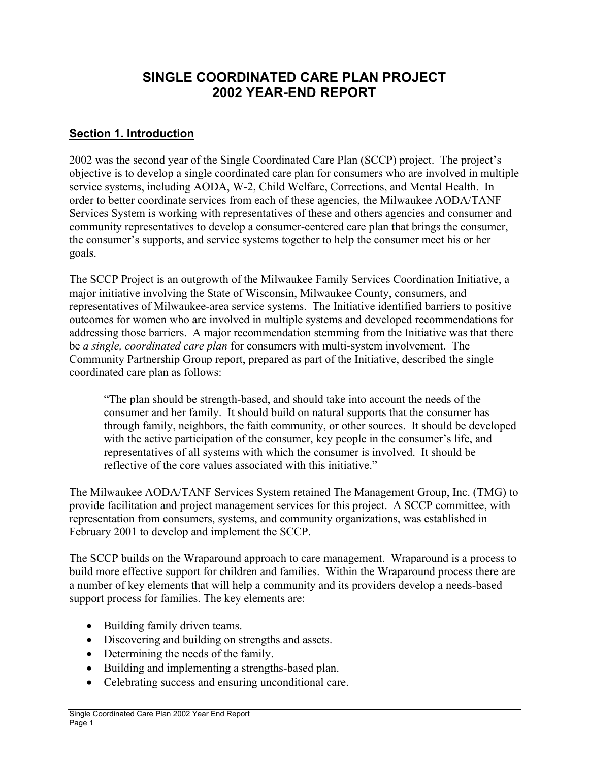# **SINGLE COORDINATED CARE PLAN PROJECT 2002 YEAR-END REPORT**

#### **Section 1. Introduction**

2002 was the second year of the Single Coordinated Care Plan (SCCP) project. The project's objective is to develop a single coordinated care plan for consumers who are involved in multiple service systems, including AODA, W-2, Child Welfare, Corrections, and Mental Health. In order to better coordinate services from each of these agencies, the Milwaukee AODA/TANF Services System is working with representatives of these and others agencies and consumer and community representatives to develop a consumer-centered care plan that brings the consumer, the consumer's supports, and service systems together to help the consumer meet his or her goals.

The SCCP Project is an outgrowth of the Milwaukee Family Services Coordination Initiative, a major initiative involving the State of Wisconsin, Milwaukee County, consumers, and representatives of Milwaukee-area service systems. The Initiative identified barriers to positive outcomes for women who are involved in multiple systems and developed recommendations for addressing those barriers. A major recommendation stemming from the Initiative was that there be *a single, coordinated care plan* for consumers with multi-system involvement. The Community Partnership Group report, prepared as part of the Initiative, described the single coordinated care plan as follows:

"The plan should be strength-based, and should take into account the needs of the consumer and her family. It should build on natural supports that the consumer has through family, neighbors, the faith community, or other sources. It should be developed with the active participation of the consumer, key people in the consumer's life, and representatives of all systems with which the consumer is involved. It should be reflective of the core values associated with this initiative."

The Milwaukee AODA/TANF Services System retained The Management Group, Inc. (TMG) to provide facilitation and project management services for this project. A SCCP committee, with representation from consumers, systems, and community organizations, was established in February 2001 to develop and implement the SCCP.

The SCCP builds on the Wraparound approach to care management. Wraparound is a process to build more effective support for children and families. Within the Wraparound process there are a number of key elements that will help a community and its providers develop a needs-based support process for families. The key elements are:

- Building family driven teams.
- Discovering and building on strengths and assets.
- Determining the needs of the family.
- Building and implementing a strengths-based plan.
- Celebrating success and ensuring unconditional care.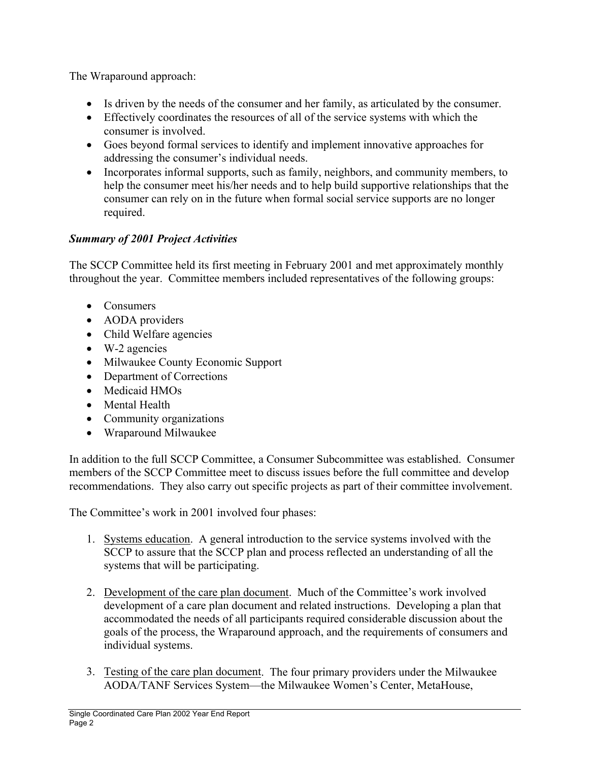The Wraparound approach:

- Is driven by the needs of the consumer and her family, as articulated by the consumer.
- Effectively coordinates the resources of all of the service systems with which the consumer is involved.
- Goes beyond formal services to identify and implement innovative approaches for addressing the consumer's individual needs.
- Incorporates informal supports, such as family, neighbors, and community members, to help the consumer meet his/her needs and to help build supportive relationships that the consumer can rely on in the future when formal social service supports are no longer required.

# *Summary of 2001 Project Activities*

The SCCP Committee held its first meeting in February 2001 and met approximately monthly throughout the year. Committee members included representatives of the following groups:

- Consumers
- AODA providers
- Child Welfare agencies
- W-2 agencies
- Milwaukee County Economic Support
- Department of Corrections
- Medicaid HMOs
- Mental Health
- Community organizations
- Wraparound Milwaukee

In addition to the full SCCP Committee, a Consumer Subcommittee was established. Consumer members of the SCCP Committee meet to discuss issues before the full committee and develop recommendations. They also carry out specific projects as part of their committee involvement.

The Committee's work in 2001 involved four phases:

- 1. Systems education. A general introduction to the service systems involved with the SCCP to assure that the SCCP plan and process reflected an understanding of all the systems that will be participating.
- 2. Development of the care plan document. Much of the Committee's work involved development of a care plan document and related instructions. Developing a plan that accommodated the needs of all participants required considerable discussion about the goals of the process, the Wraparound approach, and the requirements of consumers and individual systems.
- 3. Testing of the care plan document. The four primary providers under the Milwaukee AODA/TANF Services System—the Milwaukee Women's Center, MetaHouse,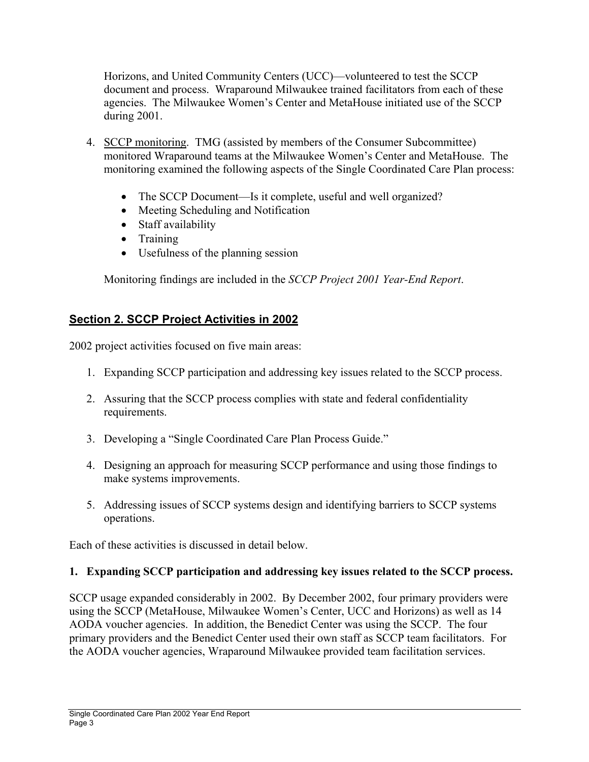Horizons, and United Community Centers (UCC)—volunteered to test the SCCP document and process. Wraparound Milwaukee trained facilitators from each of these agencies. The Milwaukee Women's Center and MetaHouse initiated use of the SCCP during 2001.

- 4. SCCP monitoring. TMG (assisted by members of the Consumer Subcommittee) monitored Wraparound teams at the Milwaukee Women's Center and MetaHouse. The monitoring examined the following aspects of the Single Coordinated Care Plan process:
	- The SCCP Document—Is it complete, useful and well organized?
	- Meeting Scheduling and Notification
	- Staff availability
	- Training
	- Usefulness of the planning session

Monitoring findings are included in the *SCCP Project 2001 Year-End Report*.

# **Section 2. SCCP Project Activities in 2002**

2002 project activities focused on five main areas:

- 1. Expanding SCCP participation and addressing key issues related to the SCCP process.
- 2. Assuring that the SCCP process complies with state and federal confidentiality requirements.
- 3. Developing a "Single Coordinated Care Plan Process Guide."
- 4. Designing an approach for measuring SCCP performance and using those findings to make systems improvements.
- 5. Addressing issues of SCCP systems design and identifying barriers to SCCP systems operations.

Each of these activities is discussed in detail below.

#### **1. Expanding SCCP participation and addressing key issues related to the SCCP process.**

SCCP usage expanded considerably in 2002. By December 2002, four primary providers were using the SCCP (MetaHouse, Milwaukee Women's Center, UCC and Horizons) as well as 14 AODA voucher agencies. In addition, the Benedict Center was using the SCCP. The four primary providers and the Benedict Center used their own staff as SCCP team facilitators. For the AODA voucher agencies, Wraparound Milwaukee provided team facilitation services.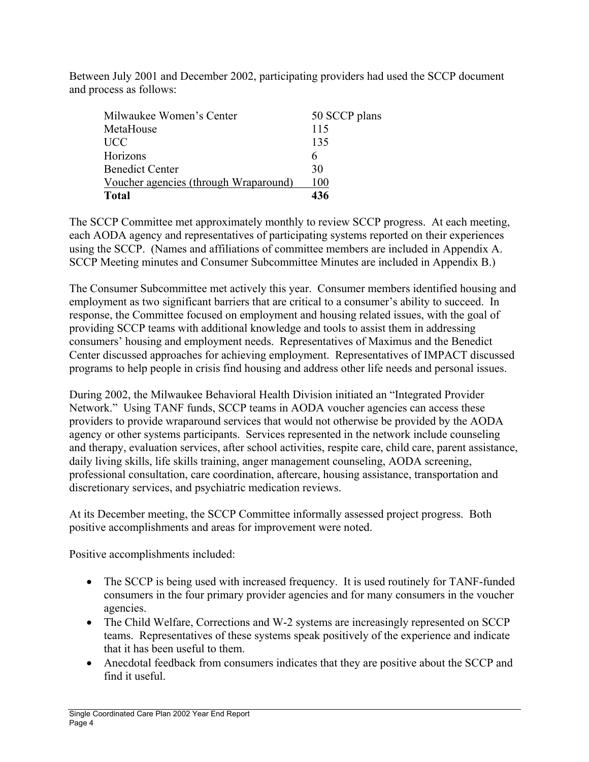Between July 2001 and December 2002, participating providers had used the SCCP document and process as follows:

| Milwaukee Women's Center              | 50 SCCP plans |
|---------------------------------------|---------------|
| MetaHouse                             | 115           |
| <b>UCC</b>                            | 135           |
| Horizons                              | 6             |
| <b>Benedict Center</b>                | 30            |
| Voucher agencies (through Wraparound) | 100           |
| <b>Total</b>                          | 436           |

The SCCP Committee met approximately monthly to review SCCP progress. At each meeting, each AODA agency and representatives of participating systems reported on their experiences using the SCCP. (Names and affiliations of committee members are included in Appendix A. SCCP Meeting minutes and Consumer Subcommittee Minutes are included in Appendix B.)

The Consumer Subcommittee met actively this year. Consumer members identified housing and employment as two significant barriers that are critical to a consumer's ability to succeed. In response, the Committee focused on employment and housing related issues, with the goal of providing SCCP teams with additional knowledge and tools to assist them in addressing consumers' housing and employment needs. Representatives of Maximus and the Benedict Center discussed approaches for achieving employment. Representatives of IMPACT discussed programs to help people in crisis find housing and address other life needs and personal issues.

During 2002, the Milwaukee Behavioral Health Division initiated an "Integrated Provider Network." Using TANF funds, SCCP teams in AODA voucher agencies can access these providers to provide wraparound services that would not otherwise be provided by the AODA agency or other systems participants. Services represented in the network include counseling and therapy, evaluation services, after school activities, respite care, child care, parent assistance, daily living skills, life skills training, anger management counseling, AODA screening, professional consultation, care coordination, aftercare, housing assistance, transportation and discretionary services, and psychiatric medication reviews.

At its December meeting, the SCCP Committee informally assessed project progress. Both positive accomplishments and areas for improvement were noted.

Positive accomplishments included:

- The SCCP is being used with increased frequency. It is used routinely for TANF-funded consumers in the four primary provider agencies and for many consumers in the voucher agencies.
- The Child Welfare, Corrections and W-2 systems are increasingly represented on SCCP teams. Representatives of these systems speak positively of the experience and indicate that it has been useful to them.
- Anecdotal feedback from consumers indicates that they are positive about the SCCP and find it useful.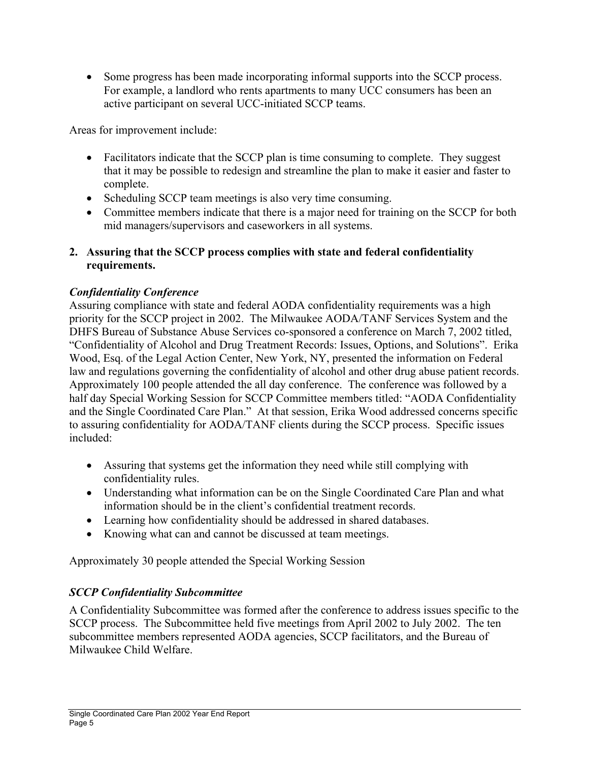• Some progress has been made incorporating informal supports into the SCCP process. For example, a landlord who rents apartments to many UCC consumers has been an active participant on several UCC-initiated SCCP teams.

Areas for improvement include:

- Facilitators indicate that the SCCP plan is time consuming to complete. They suggest that it may be possible to redesign and streamline the plan to make it easier and faster to complete.
- Scheduling SCCP team meetings is also very time consuming.
- Committee members indicate that there is a major need for training on the SCCP for both mid managers/supervisors and caseworkers in all systems.

#### **2. Assuring that the SCCP process complies with state and federal confidentiality requirements.**

# *Confidentiality Conference*

Assuring compliance with state and federal AODA confidentiality requirements was a high priority for the SCCP project in 2002. The Milwaukee AODA/TANF Services System and the DHFS Bureau of Substance Abuse Services co-sponsored a conference on March 7, 2002 titled, "Confidentiality of Alcohol and Drug Treatment Records: Issues, Options, and Solutions". Erika Wood, Esq. of the Legal Action Center, New York, NY, presented the information on Federal law and regulations governing the confidentiality of alcohol and other drug abuse patient records. Approximately 100 people attended the all day conference. The conference was followed by a half day Special Working Session for SCCP Committee members titled: "AODA Confidentiality and the Single Coordinated Care Plan." At that session, Erika Wood addressed concerns specific to assuring confidentiality for AODA/TANF clients during the SCCP process. Specific issues included:

- Assuring that systems get the information they need while still complying with confidentiality rules.
- Understanding what information can be on the Single Coordinated Care Plan and what information should be in the client's confidential treatment records.
- Learning how confidentiality should be addressed in shared databases.
- Knowing what can and cannot be discussed at team meetings.

Approximately 30 people attended the Special Working Session

# *SCCP Confidentiality Subcommittee*

A Confidentiality Subcommittee was formed after the conference to address issues specific to the SCCP process. The Subcommittee held five meetings from April 2002 to July 2002. The ten subcommittee members represented AODA agencies, SCCP facilitators, and the Bureau of Milwaukee Child Welfare.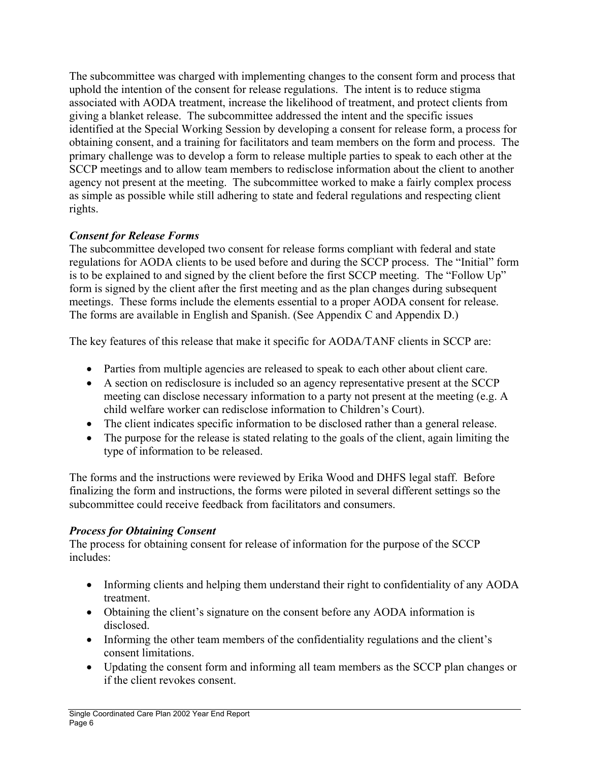The subcommittee was charged with implementing changes to the consent form and process that uphold the intention of the consent for release regulations. The intent is to reduce stigma associated with AODA treatment, increase the likelihood of treatment, and protect clients from giving a blanket release. The subcommittee addressed the intent and the specific issues identified at the Special Working Session by developing a consent for release form, a process for obtaining consent, and a training for facilitators and team members on the form and process. The primary challenge was to develop a form to release multiple parties to speak to each other at the SCCP meetings and to allow team members to redisclose information about the client to another agency not present at the meeting. The subcommittee worked to make a fairly complex process as simple as possible while still adhering to state and federal regulations and respecting client rights.

## *Consent for Release Forms*

The subcommittee developed two consent for release forms compliant with federal and state regulations for AODA clients to be used before and during the SCCP process. The "Initial" form is to be explained to and signed by the client before the first SCCP meeting. The "Follow Up" form is signed by the client after the first meeting and as the plan changes during subsequent meetings. These forms include the elements essential to a proper AODA consent for release. The forms are available in English and Spanish. (See Appendix C and Appendix D.)

The key features of this release that make it specific for AODA/TANF clients in SCCP are:

- Parties from multiple agencies are released to speak to each other about client care.
- A section on redisclosure is included so an agency representative present at the SCCP meeting can disclose necessary information to a party not present at the meeting (e.g. A child welfare worker can redisclose information to Children's Court).
- The client indicates specific information to be disclosed rather than a general release.
- The purpose for the release is stated relating to the goals of the client, again limiting the type of information to be released.

The forms and the instructions were reviewed by Erika Wood and DHFS legal staff. Before finalizing the form and instructions, the forms were piloted in several different settings so the subcommittee could receive feedback from facilitators and consumers.

## *Process for Obtaining Consent*

The process for obtaining consent for release of information for the purpose of the SCCP includes:

- Informing clients and helping them understand their right to confidentiality of any AODA treatment.
- Obtaining the client's signature on the consent before any AODA information is disclosed.
- Informing the other team members of the confidentiality regulations and the client's consent limitations.
- Updating the consent form and informing all team members as the SCCP plan changes or if the client revokes consent.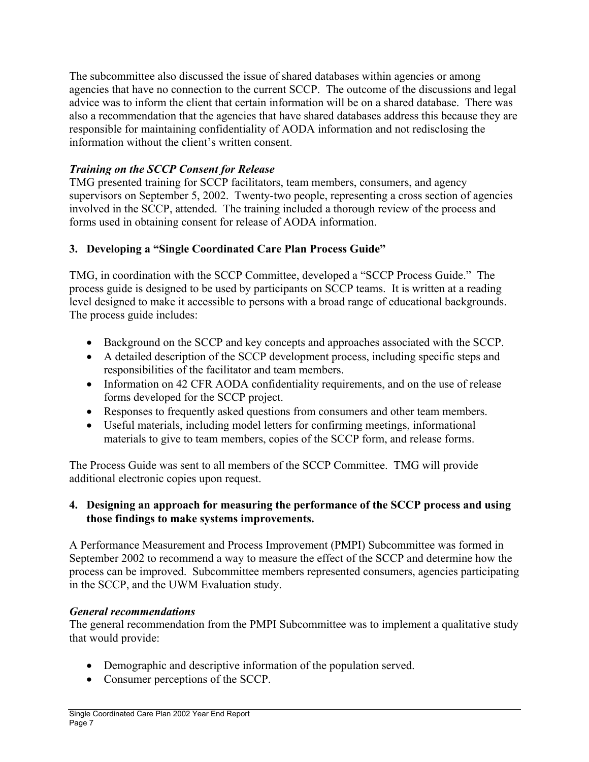The subcommittee also discussed the issue of shared databases within agencies or among agencies that have no connection to the current SCCP. The outcome of the discussions and legal advice was to inform the client that certain information will be on a shared database. There was also a recommendation that the agencies that have shared databases address this because they are responsible for maintaining confidentiality of AODA information and not redisclosing the information without the client's written consent.

# *Training on the SCCP Consent for Release*

TMG presented training for SCCP facilitators, team members, consumers, and agency supervisors on September 5, 2002. Twenty-two people, representing a cross section of agencies involved in the SCCP, attended. The training included a thorough review of the process and forms used in obtaining consent for release of AODA information.

# **3. Developing a "Single Coordinated Care Plan Process Guide"**

TMG, in coordination with the SCCP Committee, developed a "SCCP Process Guide." The process guide is designed to be used by participants on SCCP teams. It is written at a reading level designed to make it accessible to persons with a broad range of educational backgrounds. The process guide includes:

- Background on the SCCP and key concepts and approaches associated with the SCCP.
- A detailed description of the SCCP development process, including specific steps and responsibilities of the facilitator and team members.
- Information on 42 CFR AODA confidentiality requirements, and on the use of release forms developed for the SCCP project.
- Responses to frequently asked questions from consumers and other team members.
- Useful materials, including model letters for confirming meetings, informational materials to give to team members, copies of the SCCP form, and release forms.

The Process Guide was sent to all members of the SCCP Committee. TMG will provide additional electronic copies upon request.

#### **4. Designing an approach for measuring the performance of the SCCP process and using those findings to make systems improvements.**

A Performance Measurement and Process Improvement (PMPI) Subcommittee was formed in September 2002 to recommend a way to measure the effect of the SCCP and determine how the process can be improved. Subcommittee members represented consumers, agencies participating in the SCCP, and the UWM Evaluation study.

#### *General recommendations*

The general recommendation from the PMPI Subcommittee was to implement a qualitative study that would provide:

- Demographic and descriptive information of the population served.
- Consumer perceptions of the SCCP.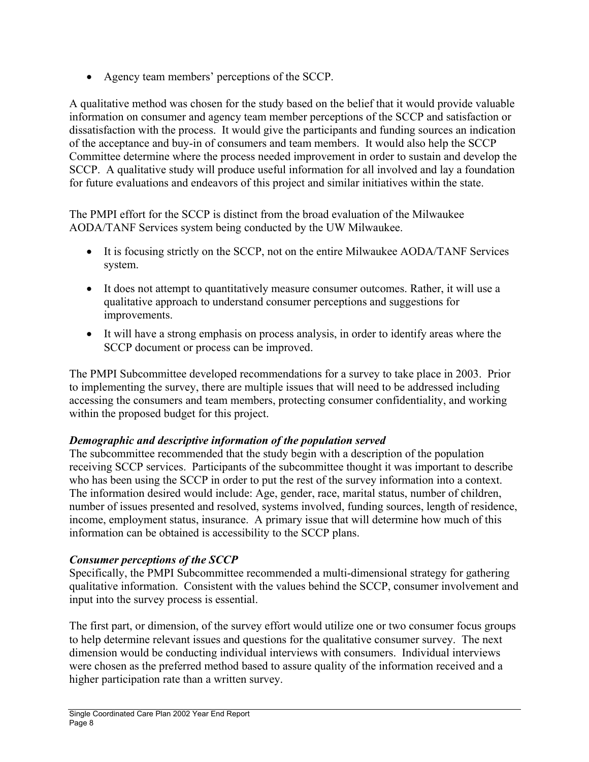• Agency team members' perceptions of the SCCP.

A qualitative method was chosen for the study based on the belief that it would provide valuable information on consumer and agency team member perceptions of the SCCP and satisfaction or dissatisfaction with the process. It would give the participants and funding sources an indication of the acceptance and buy-in of consumers and team members. It would also help the SCCP Committee determine where the process needed improvement in order to sustain and develop the SCCP. A qualitative study will produce useful information for all involved and lay a foundation for future evaluations and endeavors of this project and similar initiatives within the state.

The PMPI effort for the SCCP is distinct from the broad evaluation of the Milwaukee AODA/TANF Services system being conducted by the UW Milwaukee.

- It is focusing strictly on the SCCP, not on the entire Milwaukee AODA/TANF Services system.
- It does not attempt to quantitatively measure consumer outcomes. Rather, it will use a qualitative approach to understand consumer perceptions and suggestions for improvements.
- It will have a strong emphasis on process analysis, in order to identify areas where the SCCP document or process can be improved.

The PMPI Subcommittee developed recommendations for a survey to take place in 2003. Prior to implementing the survey, there are multiple issues that will need to be addressed including accessing the consumers and team members, protecting consumer confidentiality, and working within the proposed budget for this project.

#### *Demographic and descriptive information of the population served*

The subcommittee recommended that the study begin with a description of the population receiving SCCP services. Participants of the subcommittee thought it was important to describe who has been using the SCCP in order to put the rest of the survey information into a context. The information desired would include: Age, gender, race, marital status, number of children, number of issues presented and resolved, systems involved, funding sources, length of residence, income, employment status, insurance. A primary issue that will determine how much of this information can be obtained is accessibility to the SCCP plans.

#### *Consumer perceptions of the SCCP*

Specifically, the PMPI Subcommittee recommended a multi-dimensional strategy for gathering qualitative information. Consistent with the values behind the SCCP, consumer involvement and input into the survey process is essential.

The first part, or dimension, of the survey effort would utilize one or two consumer focus groups to help determine relevant issues and questions for the qualitative consumer survey. The next dimension would be conducting individual interviews with consumers. Individual interviews were chosen as the preferred method based to assure quality of the information received and a higher participation rate than a written survey.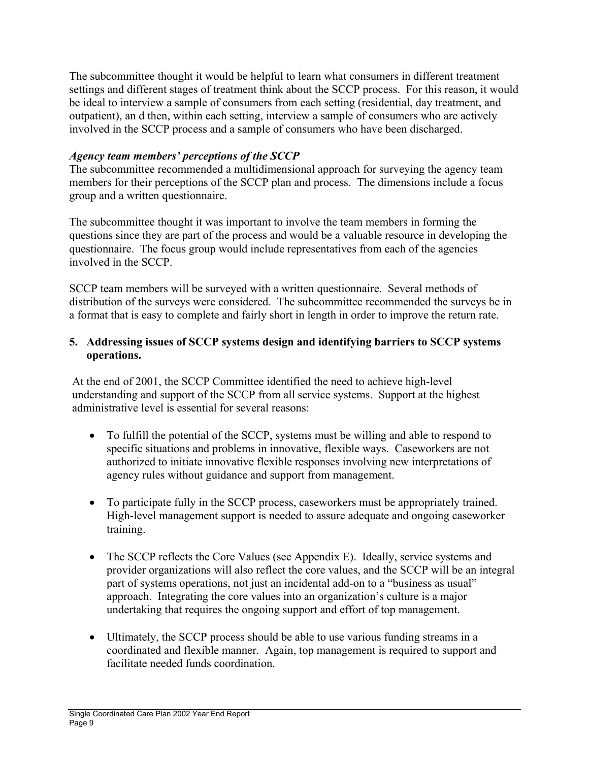The subcommittee thought it would be helpful to learn what consumers in different treatment settings and different stages of treatment think about the SCCP process. For this reason, it would be ideal to interview a sample of consumers from each setting (residential, day treatment, and outpatient), an d then, within each setting, interview a sample of consumers who are actively involved in the SCCP process and a sample of consumers who have been discharged.

#### *Agency team members' perceptions of the SCCP*

The subcommittee recommended a multidimensional approach for surveying the agency team members for their perceptions of the SCCP plan and process. The dimensions include a focus group and a written questionnaire.

The subcommittee thought it was important to involve the team members in forming the questions since they are part of the process and would be a valuable resource in developing the questionnaire. The focus group would include representatives from each of the agencies involved in the SCCP.

SCCP team members will be surveyed with a written questionnaire. Several methods of distribution of the surveys were considered. The subcommittee recommended the surveys be in a format that is easy to complete and fairly short in length in order to improve the return rate.

#### **5. Addressing issues of SCCP systems design and identifying barriers to SCCP systems operations.**

At the end of 2001, the SCCP Committee identified the need to achieve high-level understanding and support of the SCCP from all service systems. Support at the highest administrative level is essential for several reasons:

- To fulfill the potential of the SCCP, systems must be willing and able to respond to specific situations and problems in innovative, flexible ways. Caseworkers are not authorized to initiate innovative flexible responses involving new interpretations of agency rules without guidance and support from management.
- To participate fully in the SCCP process, caseworkers must be appropriately trained. High-level management support is needed to assure adequate and ongoing caseworker training.
- The SCCP reflects the Core Values (see Appendix E). Ideally, service systems and provider organizations will also reflect the core values, and the SCCP will be an integral part of systems operations, not just an incidental add-on to a "business as usual" approach. Integrating the core values into an organization's culture is a major undertaking that requires the ongoing support and effort of top management.
- Ultimately, the SCCP process should be able to use various funding streams in a coordinated and flexible manner. Again, top management is required to support and facilitate needed funds coordination.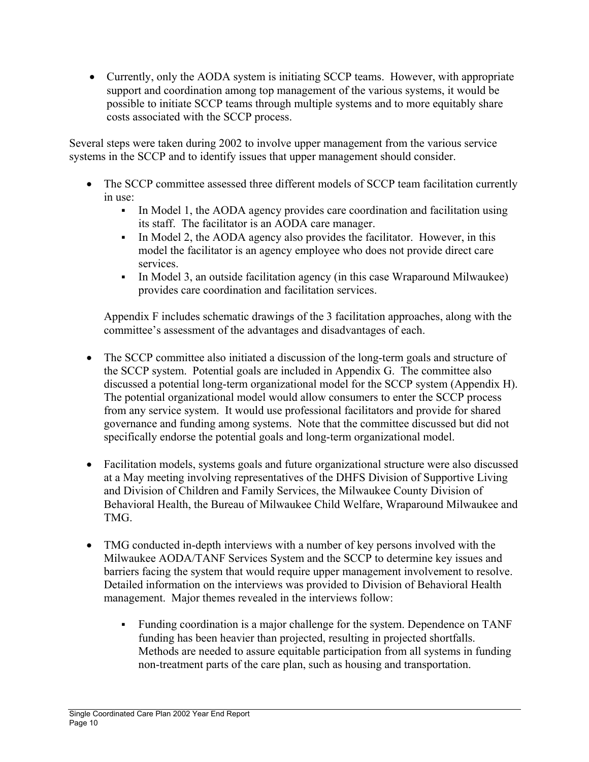• Currently, only the AODA system is initiating SCCP teams. However, with appropriate support and coordination among top management of the various systems, it would be possible to initiate SCCP teams through multiple systems and to more equitably share costs associated with the SCCP process.

Several steps were taken during 2002 to involve upper management from the various service systems in the SCCP and to identify issues that upper management should consider.

- The SCCP committee assessed three different models of SCCP team facilitation currently in use:
	- In Model 1, the AODA agency provides care coordination and facilitation using its staff. The facilitator is an AODA care manager.
	- In Model 2, the AODA agency also provides the facilitator. However, in this model the facilitator is an agency employee who does not provide direct care services.
	- In Model 3, an outside facilitation agency (in this case Wraparound Milwaukee) provides care coordination and facilitation services.

Appendix F includes schematic drawings of the 3 facilitation approaches, along with the committee's assessment of the advantages and disadvantages of each.

- The SCCP committee also initiated a discussion of the long-term goals and structure of the SCCP system. Potential goals are included in Appendix G. The committee also discussed a potential long-term organizational model for the SCCP system (Appendix H). The potential organizational model would allow consumers to enter the SCCP process from any service system. It would use professional facilitators and provide for shared governance and funding among systems. Note that the committee discussed but did not specifically endorse the potential goals and long-term organizational model.
- Facilitation models, systems goals and future organizational structure were also discussed at a May meeting involving representatives of the DHFS Division of Supportive Living and Division of Children and Family Services, the Milwaukee County Division of Behavioral Health, the Bureau of Milwaukee Child Welfare, Wraparound Milwaukee and TMG.
- TMG conducted in-depth interviews with a number of key persons involved with the Milwaukee AODA/TANF Services System and the SCCP to determine key issues and barriers facing the system that would require upper management involvement to resolve. Detailed information on the interviews was provided to Division of Behavioral Health management. Major themes revealed in the interviews follow:
	- Funding coordination is a major challenge for the system. Dependence on TANF funding has been heavier than projected, resulting in projected shortfalls. Methods are needed to assure equitable participation from all systems in funding non-treatment parts of the care plan, such as housing and transportation.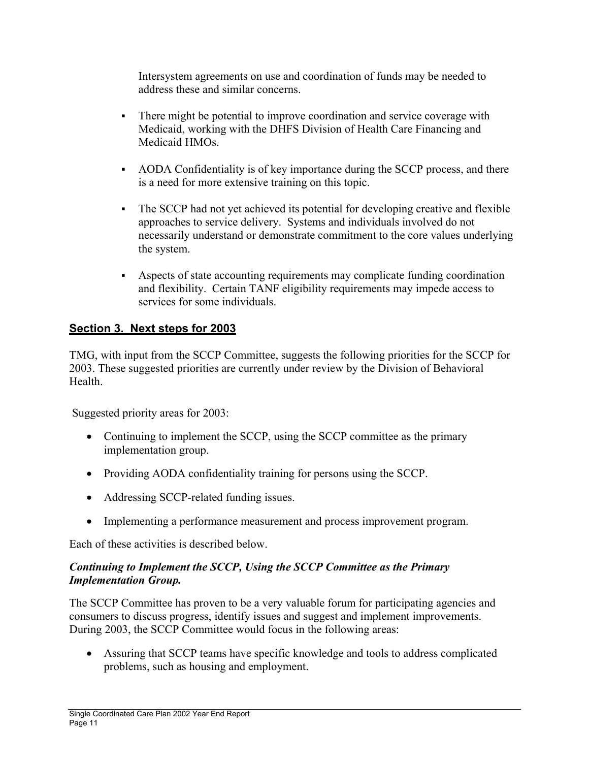Intersystem agreements on use and coordination of funds may be needed to address these and similar concerns.

- There might be potential to improve coordination and service coverage with Medicaid, working with the DHFS Division of Health Care Financing and Medicaid HMOs.
- AODA Confidentiality is of key importance during the SCCP process, and there is a need for more extensive training on this topic.
- The SCCP had not yet achieved its potential for developing creative and flexible approaches to service delivery. Systems and individuals involved do not necessarily understand or demonstrate commitment to the core values underlying the system.
- Aspects of state accounting requirements may complicate funding coordination and flexibility. Certain TANF eligibility requirements may impede access to services for some individuals.

# **Section 3. Next steps for 2003**

TMG, with input from the SCCP Committee, suggests the following priorities for the SCCP for 2003. These suggested priorities are currently under review by the Division of Behavioral **Health** 

Suggested priority areas for 2003:

- Continuing to implement the SCCP, using the SCCP committee as the primary implementation group.
- Providing AODA confidentiality training for persons using the SCCP.
- Addressing SCCP-related funding issues.
- Implementing a performance measurement and process improvement program.

Each of these activities is described below.

#### *Continuing to Implement the SCCP, Using the SCCP Committee as the Primary Implementation Group.*

The SCCP Committee has proven to be a very valuable forum for participating agencies and consumers to discuss progress, identify issues and suggest and implement improvements. During 2003, the SCCP Committee would focus in the following areas:

• Assuring that SCCP teams have specific knowledge and tools to address complicated problems, such as housing and employment.